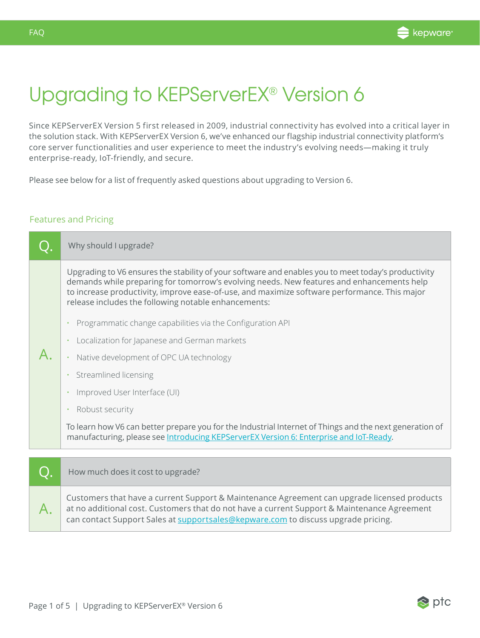

 $\otimes$  ptc

## Upgrading to KEPServerEX® Version 6

Since KEPServerEX Version 5 first released in 2009, industrial connectivity has evolved into a critical layer in the solution stack. With KEPServerEX Version 6, we've enhanced our flagship industrial connectivity platform's core server functionalities and user experience to meet the industry's evolving needs—making it truly enterprise-ready, IoT-friendly, and secure.

Please see below for a list of frequently asked questions about upgrading to Version 6.

## Features and Pricing

| Why should I upgrade?                                                                                                                                                                                                                                                                                                                                                                                                                                                                                                                                                                                                                                                                                    |
|----------------------------------------------------------------------------------------------------------------------------------------------------------------------------------------------------------------------------------------------------------------------------------------------------------------------------------------------------------------------------------------------------------------------------------------------------------------------------------------------------------------------------------------------------------------------------------------------------------------------------------------------------------------------------------------------------------|
| Upgrading to V6 ensures the stability of your software and enables you to meet today's productivity<br>demands while preparing for tomorrow's evolving needs. New features and enhancements help<br>to increase productivity, improve ease-of-use, and maximize software performance. This major<br>release includes the following notable enhancements:<br>Programmatic change capabilities via the Configuration API<br>Localization for Japanese and German markets<br>Native development of OPC UA technology<br>Streamlined licensing<br>Improved User Interface (UI)<br>Robust security<br>To learn how V6 can better prepare you for the Industrial Internet of Things and the next generation of |
| manufacturing, please see Introducing KEPServerEX Version 6: Enterprise and IoT-Ready.                                                                                                                                                                                                                                                                                                                                                                                                                                                                                                                                                                                                                   |
| How much does it cost to upgrade?                                                                                                                                                                                                                                                                                                                                                                                                                                                                                                                                                                                                                                                                        |
|                                                                                                                                                                                                                                                                                                                                                                                                                                                                                                                                                                                                                                                                                                          |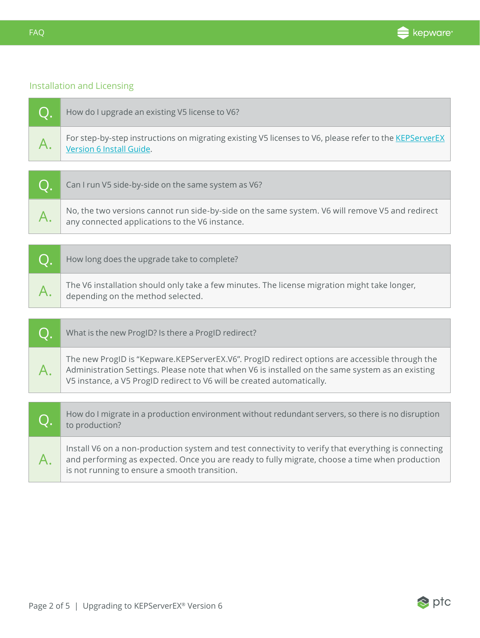

## Installation and Licensing

| How do I upgrade an existing V5 license to V6?                                                                                                    |
|---------------------------------------------------------------------------------------------------------------------------------------------------|
| For step-by-step instructions on migrating existing V5 licenses to V6, please refer to the KEPServerEX<br>Version 6 Install Guide.                |
|                                                                                                                                                   |
| Can I run V5 side-by-side on the same system as V6?                                                                                               |
| No, the two versions cannot run side-by-side on the same system. V6 will remove V5 and redirect<br>any connected applications to the V6 instance. |
|                                                                                                                                                   |
| How long does the upgrade take to complete?                                                                                                       |

| The V6 installation should only take a few minutes. The license migration might take longer,<br>$\mathcal{A}$ · depending on the method selected. |
|---------------------------------------------------------------------------------------------------------------------------------------------------|

|    | What is the new ProgID? Is there a ProgID redirect?                                                                                                                                                                                                                          |  |
|----|------------------------------------------------------------------------------------------------------------------------------------------------------------------------------------------------------------------------------------------------------------------------------|--|
| A. | The new ProgID is "Kepware.KEPServerEX.V6". ProgID redirect options are accessible through the<br>Administration Settings. Please note that when V6 is installed on the same system as an existing<br>V5 instance, a V5 ProgID redirect to V6 will be created automatically. |  |
|    |                                                                                                                                                                                                                                                                              |  |
|    | How do I migrate in a production environment without redundant servers, so there is no disruption<br>to production?                                                                                                                                                          |  |
|    | Install V6 on a non-production system and test connectivity to verify that everything is connecting<br>and performing as expected. Once you are ready to fully migrate, choose a time when production<br>is not running to ensure a smooth transition.                       |  |

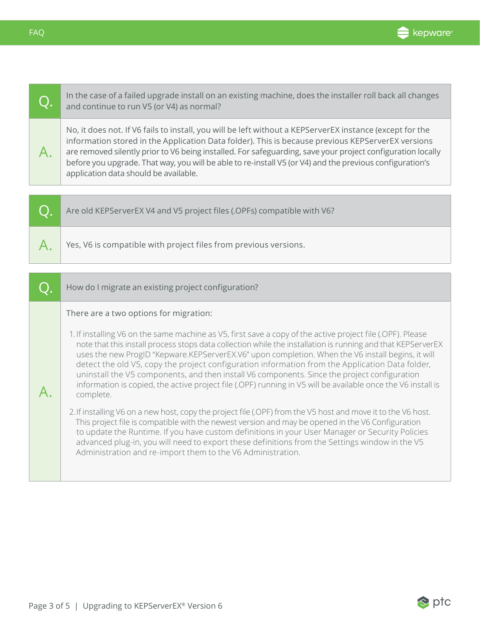

FAQ

| $\cap$ | In the case of a failed upgrade install on an existing machine, does the installer roll back all changes<br>and continue to run V5 (or V4) as normal?                                                                                                                                                                                                                                                                                                                             |
|--------|-----------------------------------------------------------------------------------------------------------------------------------------------------------------------------------------------------------------------------------------------------------------------------------------------------------------------------------------------------------------------------------------------------------------------------------------------------------------------------------|
|        | No, it does not. If V6 fails to install, you will be left without a KEPServerEX instance (except for the<br>information stored in the Application Data folder). This is because previous KEPServerEX versions<br>are removed silently prior to V6 being installed. For safeguarding, save your project configuration locally<br>before you upgrade. That way, you will be able to re-install V5 (or V4) and the previous configuration's<br>application data should be available. |
|        |                                                                                                                                                                                                                                                                                                                                                                                                                                                                                   |
|        |                                                                                                                                                                                                                                                                                                                                                                                                                                                                                   |

| Are old KEPServerEX V4 and V5 project files (.OPFs) compatible with V6? |
|-------------------------------------------------------------------------|
| Yes, V6 is compatible with project files from previous versions.        |

|  | How do I migrate an existing project configuration?                                                                                                                                                                                                                                                                                                                                                                                                                                                                                                                                                                                                            |
|--|----------------------------------------------------------------------------------------------------------------------------------------------------------------------------------------------------------------------------------------------------------------------------------------------------------------------------------------------------------------------------------------------------------------------------------------------------------------------------------------------------------------------------------------------------------------------------------------------------------------------------------------------------------------|
|  | There are a two options for migration:                                                                                                                                                                                                                                                                                                                                                                                                                                                                                                                                                                                                                         |
|  | 1. If installing V6 on the same machine as V5, first save a copy of the active project file (.OPF). Please<br>note that this install process stops data collection while the installation is running and that KEPServerEX<br>uses the new ProgID "Kepware.KEPServerEX.V6" upon completion. When the V6 install begins, it will<br>detect the old V5, copy the project configuration information from the Application Data folder,<br>uninstall the V5 components, and then install V6 components. Since the project configuration<br>information is copied, the active project file (.OPF) running in V5 will be available once the V6 install is<br>complete. |
|  | 2. If installing V6 on a new host, copy the project file (.OPF) from the V5 host and move it to the V6 host.<br>This project file is compatible with the newest version and may be opened in the V6 Configuration<br>to update the Runtime. If you have custom definitions in your User Manager or Security Policies<br>advanced plug-in, you will need to export these definitions from the Settings window in the V5<br>Administration and re-import them to the V6 Administration.                                                                                                                                                                          |

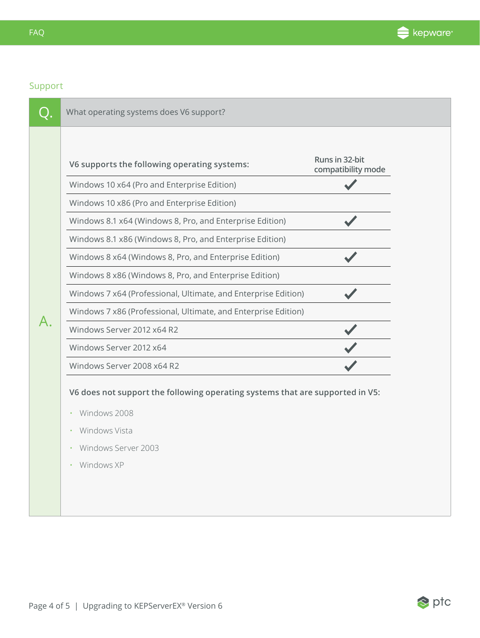

## Support

| V6 supports the following operating systems:                   | Runs in 32-bit<br>compatibility mode |
|----------------------------------------------------------------|--------------------------------------|
| Windows 10 x64 (Pro and Enterprise Edition)                    |                                      |
| Windows 10 x86 (Pro and Enterprise Edition)                    |                                      |
| Windows 8.1 x64 (Windows 8, Pro, and Enterprise Edition)       |                                      |
| Windows 8.1 x86 (Windows 8, Pro, and Enterprise Edition)       |                                      |
| Windows 8 x64 (Windows 8, Pro, and Enterprise Edition)         |                                      |
| Windows 8 x86 (Windows 8, Pro, and Enterprise Edition)         |                                      |
| Windows 7 x64 (Professional, Ultimate, and Enterprise Edition) |                                      |
| Windows 7 x86 (Professional, Ultimate, and Enterprise Edition) |                                      |
| Windows Server 2012 x64 R2                                     |                                      |
| Windows Server 2012 x64                                        |                                      |
| Windows Server 2008 x64 R2                                     |                                      |

- Windows Server 2003
- Windows XP